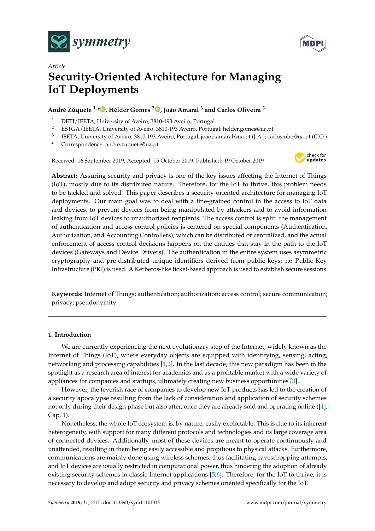



# *Article* **Security-Oriented Architecture for Managing IoT Deployments**

## **André Zúquete 1,\* [,](https://orcid.org/0000-0002-9745-4361) Hélder Gomes <sup>2</sup> [,](https://orcid.org/0000-0001-8443-4196) João Amaral <sup>3</sup> and Carlos Oliveira <sup>3</sup>**

- <sup>1</sup> DETI/IEETA, University of Aveiro, 3810-193 Aveiro, Portugal<br><sup>2</sup> ESTC A (JEETA, University of Aveiro, 3810-193 Aveiro, Portug
- <sup>2</sup> ESTGA/IEETA, University of Aveiro, 3810-193 Aveiro, Portugal; helder.gomes@ua.pt
- 3 IEETA, University of Aveiro, 3810-193 Aveiro, Portugal; joaop.amaral@ua.pt (J.A.); carlosmbo@ua.pt (C.O.)
- **\*** Correspondence: andre.zuquete@ua.pt

Received: 16 September 2019; Accepted: 15 October 2019; Published: 19 October 2019



**Abstract:** Assuring security and privacy is one of the key issues affecting the Internet of Things (IoT), mostly due to its distributed nature. Therefore, for the IoT to thrive, this problem needs to be tackled and solved. This paper describes a security-oriented architecture for managing IoT deployments. Our main goal was to deal with a fine-grained control in the access to IoT data and devices, to prevent devices from being manipulated by attackers and to avoid information leaking from IoT devices to unauthorized recipients. The access control is split: the management of authentication and access control policies is centered on special components (Authentication, Authorization, and Accounting Controllers), which can be distributed or centralized, and the actual enforcement of access control decisions happens on the entities that stay in the path to the IoT devices (Gateways and Device Drivers). The authentication in the entire system uses asymmetric cryptography and pre-distributed unique identifiers derived from public keys; no Public Key Infrastructure (PKI) is used. A Kerberos-like ticket-based approach is used to establish secure sessions.

**Keywords:** Internet of Things; authentication; authorization; access control; secure communication; privacy; pseudonymity

## **1. Introduction**

We are currently experiencing the next evolutionary step of the Internet, widely known as the Internet of Things (IoT), where everyday objects are equipped with identifying, sensing, acting, networking and processing capabilities [\[1](#page-13-0)[,2\]](#page-13-1). In the last decade, this new paradigm has been in the spotlight as a research area of interest for academics and as a profitable market with a wide variety of appliances for companies and startups, ultimately creating new business opportunities [\[3\]](#page-13-2).

However, the feverish race of companies to develop new IoT products has led to the creation of a security apocalypse resulting from the lack of consideration and application of security schemes not only during their design phase but also after, once they are already sold and operating online ([\[4\]](#page-13-3), Cap. 1).

Nonetheless, the whole IoT ecosystem is, by nature, easily exploitable. This is due to its inherent heterogeneity, with support for many different protocols and technologies and its large coverage area of connected devices. Additionally, most of these devices are meant to operate continuously and unattended, resulting in them being easily accessible and propitious to physical attacks. Furthermore, communications are mainly done using wireless schemes, thus facilitating eavesdropping attempts, and IoT devices are usually restricted in computational power, thus hindering the adoption of already existing security schemes in classic Internet applications [\[5](#page-13-4)[,6\]](#page-13-5). Therefore, for the IoT to thrive, it is necessary to develop and adopt security and privacy schemes oriented specifically for the IoT.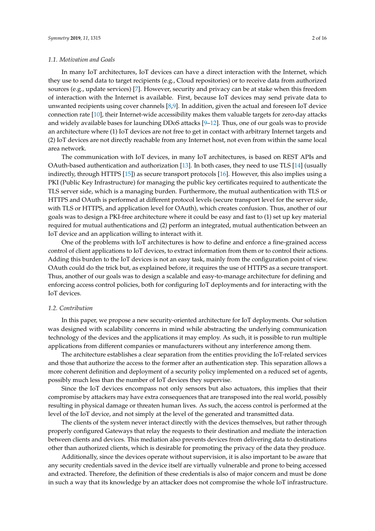In many IoT architectures, IoT devices can have a direct interaction with the Internet, which they use to send data to target recipients (e.g., Cloud repositories) or to receive data from authorized sources (e.g., update services) [\[7\]](#page-13-6). However, security and privacy can be at stake when this freedom of interaction with the Internet is available. First, because IoT devices may send private data to unwanted recipients using cover channels [\[8](#page-14-0)[,9\]](#page-14-1). In addition, given the actual and foreseen IoT device connection rate [\[10\]](#page-14-2), their Internet-wide accessibility makes them valuable targets for zero-day attacks and widely available bases for launching DDoS attacks [\[9–](#page-14-1)[12\]](#page-14-3). Thus, one of our goals was to provide an architecture where (1) IoT devices are not free to get in contact with arbitrary Internet targets and (2) IoT devices are not directly reachable from any Internet host, not even from within the same local area network.

The communication with IoT devices, in many IoT architectures, is based on REST APIs and OAuth-based authentication and authorization [\[13\]](#page-14-4). In both cases, they need to use TLS [\[14\]](#page-14-5) (usually indirectly, through HTTPS [\[15\]](#page-14-6)) as secure transport protocols [\[16\]](#page-14-7). However, this also implies using a PKI (Public Key Infrastructure) for managing the public key certificates required to authenticate the TLS server side, which is a managing burden. Furthermore, the mutual authentication with TLS or HTTPS and OAuth is performed at different protocol levels (secure transport level for the server side, with TLS or HTTPS, and application level for OAuth), which creates confusion. Thus, another of our goals was to design a PKI-free architecture where it could be easy and fast to (1) set up key material required for mutual authentications and (2) perform an integrated, mutual authentication between an IoT device and an application willing to interact with it.

One of the problems with IoT architectures is how to define and enforce a fine-grained access control of client applications to IoT devices, to extract information from them or to control their actions. Adding this burden to the IoT devices is not an easy task, mainly from the configuration point of view. OAuth could do the trick but, as explained before, it requires the use of HTTPS as a secure transport. Thus, another of our goals was to design a scalable and easy-to-manage architecture for defining and enforcing access control policies, both for configuring IoT deployments and for interacting with the IoT devices.

#### *1.2. Contribution*

In this paper, we propose a new security-oriented architecture for IoT deployments. Our solution was designed with scalability concerns in mind while abstracting the underlying communication technology of the devices and the applications it may employ. As such, it is possible to run multiple applications from different companies or manufacturers without any interference among them.

The architecture establishes a clear separation from the entities providing the IoT-related services and those that authorize the access to the former after an authentication step. This separation allows a more coherent definition and deployment of a security policy implemented on a reduced set of agents, possibly much less than the number of IoT devices they supervise.

Since the IoT devices encompass not only sensors but also actuators, this implies that their compromise by attackers may have extra consequences that are transposed into the real world, possibly resulting in physical damage or threaten human lives. As such, the access control is performed at the level of the IoT device, and not simply at the level of the generated and transmitted data.

The clients of the system never interact directly with the devices themselves, but rather through properly configured Gateways that relay the requests to their destination and mediate the interaction between clients and devices. This mediation also prevents devices from delivering data to destinations other than authorized clients, which is desirable for promoting the privacy of the data they produce.

Additionally, since the devices operate without supervision, it is also important to be aware that any security credentials saved in the device itself are virtually vulnerable and prone to being accessed and extracted. Therefore, the definition of these credentials is also of major concern and must be done in such a way that its knowledge by an attacker does not compromise the whole IoT infrastructure.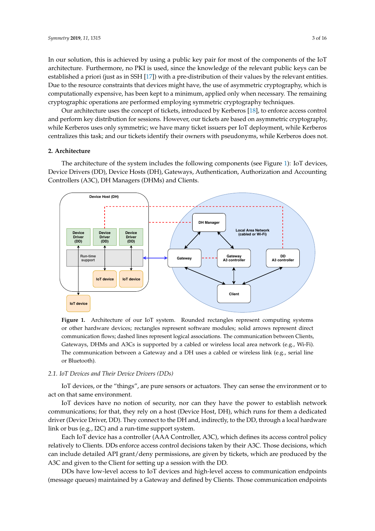In our solution, this is achieved by using a public key pair for most of the components of the IoT architecture. Furthermore, no PKI is used, since the knowledge of the relevant public keys can be established a priori (just as in SSH [\[17\]](#page-14-8)) with a pre-distribution of their values by the relevant entities. Due to the resource constraints that devices might have, the use of asymmetric cryptography, which is computationally expensive, has been kept to a minimum, applied only when necessary. The remaining cryptographic operations are performed employing symmetric cryptography techniques.

Our architecture uses the concept of tickets, introduced by Kerberos [\[18\]](#page-14-9), to enforce access control and perform key distribution for sessions. However, our tickets are based on asymmetric cryptography, while Kerberos uses only symmetric; we have many ticket issuers per IoT deployment, while Kerberos centralizes this task; and our tickets identify their owners with pseudonyms, while Kerberos does not.

## **2. Architecture**

The architecture of the system includes the following components (see Figure [1\)](#page-2-0): IoT devices, Device Drivers (DD), Device Hosts (DH), Gateways, Authentication, Authorization and Accounting Controllers (A3C), DH Managers (DHMs) and Clients.

<span id="page-2-0"></span>

**Figure 1.** Architecture of our IoT system. Rounded rectangles represent computing systems or other hardware devices; rectangles represent software modules; solid arrows represent direct communication flows; dashed lines represent logical associations. The communication between Clients, Gateways, DHMs and A3Cs is supported by a cabled or wireless local area network (e.g., Wi-Fi). The communication between a Gateway and a DH uses a cabled or wireless link (e.g., serial line or Bluetooth).

## *2.1. IoT Devices and Their Device Drivers (DDs)*

IoT devices, or the "things", are pure sensors or actuators. They can sense the environment or to act on that same environment.

IoT devices have no notion of security, nor can they have the power to establish network communications; for that, they rely on a host (Device Host, DH), which runs for them a dedicated driver (Device Driver, DD). They connect to the DH and, indirectly, to the DD, through a local hardware link or bus (e.g., I2C) and a run-time support system.

Each IoT device has a controller (AAA Controller, A3C), which defines its access control policy relatively to Clients. DDs enforce access control decisions taken by their A3C. Those decisions, which can include detailed API grant/deny permissions, are given by tickets, which are produced by the A3C and given to the Client for setting up a session with the DD.

DDs have low-level access to IoT devices and high-level access to communication endpoints (message queues) maintained by a Gateway and defined by Clients. Those communication endpoints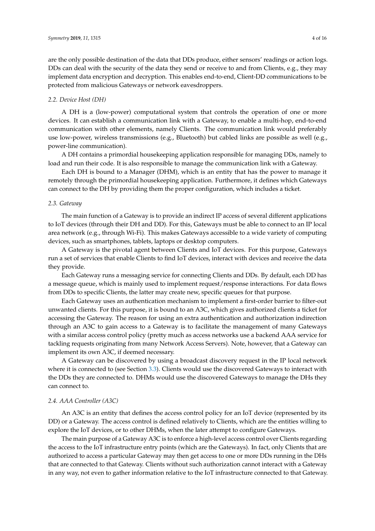are the only possible destination of the data that DDs produce, either sensors' readings or action logs. DDs can deal with the security of the data they send or receive to and from Clients, e.g., they may implement data encryption and decryption. This enables end-to-end, Client-DD communications to be protected from malicious Gateways or network eavesdroppers.

## *2.2. Device Host (DH)*

A DH is a (low-power) computational system that controls the operation of one or more devices. It can establish a communication link with a Gateway, to enable a multi-hop, end-to-end communication with other elements, namely Clients. The communication link would preferably use low-power, wireless transmissions (e.g., Bluetooth) but cabled links are possible as well (e.g., power-line communication).

A DH contains a primordial housekeeping application responsible for managing DDs, namely to load and run their code. It is also responsible to manage the communication link with a Gateway.

Each DH is bound to a Manager (DHM), which is an entity that has the power to manage it remotely through the primordial housekeeping application. Furthermore, it defines which Gateways can connect to the DH by providing them the proper configuration, which includes a ticket.

## *2.3. Gateway*

The main function of a Gateway is to provide an indirect IP access of several different applications to IoT devices (through their DH and DD). For this, Gateways must be able to connect to an IP local area network (e.g., through Wi-Fi). This makes Gateways accessible to a wide variety of computing devices, such as smartphones, tablets, laptops or desktop computers.

A Gateway is the pivotal agent between Clients and IoT devices. For this purpose, Gateways run a set of services that enable Clients to find IoT devices, interact with devices and receive the data they provide.

Each Gateway runs a messaging service for connecting Clients and DDs. By default, each DD has a message queue, which is mainly used to implement request/response interactions. For data flows from DDs to specific Clients, the latter may create new, specific queues for that purpose.

Each Gateway uses an authentication mechanism to implement a first-order barrier to filter-out unwanted clients. For this purpose, it is bound to an A3C, which gives authorized clients a ticket for accessing the Gateway. The reason for using an extra authentication and authorization indirection through an A3C to gain access to a Gateway is to facilitate the management of many Gateways with a similar access control policy (pretty much as access networks use a backend AAA service for tackling requests originating from many Network Access Servers). Note, however, that a Gateway can implement its own A3C, if deemed necessary.

A Gateway can be discovered by using a broadcast discovery request in the IP local network where it is connected to (see Section [3.3\)](#page-6-0). Clients would use the discovered Gateways to interact with the DDs they are connected to. DHMs would use the discovered Gateways to manage the DHs they can connect to.

## *2.4. AAA Controller (A3C)*

An A3C is an entity that defines the access control policy for an IoT device (represented by its DD) or a Gateway. The access control is defined relatively to Clients, which are the entities willing to explore the IoT devices, or to other DHMs, when the later attempt to configure Gateways.

The main purpose of a Gateway A3C is to enforce a high-level access control over Clients regarding the access to the IoT infrastructure entry points (which are the Gateways). In fact, only Clients that are authorized to access a particular Gateway may then get access to one or more DDs running in the DHs that are connected to that Gateway. Clients without such authorization cannot interact with a Gateway in any way, not even to gather information relative to the IoT infrastructure connected to that Gateway.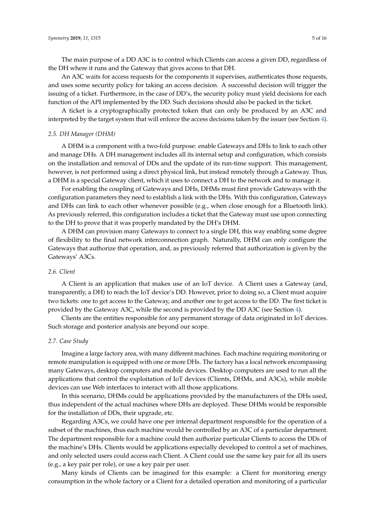The main purpose of a DD A3C is to control which Clients can access a given DD, regardless of the DH where it runs and the Gateway that gives access to that DH.

An A3C waits for access requests for the components it supervises, authenticates those requests, and uses some security policy for taking an access decision. A successful decision will trigger the issuing of a ticket. Furthermore, in the case of DD's, the security policy must yield decisions for each function of the API implemented by the DD. Such decisions should also be packed in the ticket.

A ticket is a cryptographically protected token that can only be produced by an A3C and interpreted by the target system that will enforce the access decisions taken by the issuer (see Section [4\)](#page-7-0).

## *2.5. DH Manager (DHM)*

A DHM is a component with a two-fold purpose: enable Gateways and DHs to link to each other and manage DHs. A DH management includes all its internal setup and configuration, which consists on the installation and removal of DDs and the update of its run-time support. This management, however, is not performed using a direct physical link, but instead remotely through a Gateway. Thus, a DHM is a special Gateway client, which it uses to connect a DH to the network and to manage it.

For enabling the coupling of Gateways and DHs, DHMs must first provide Gateways with the configuration parameters they need to establish a link with the DHs. With this configuration, Gateways and DHs can link to each other whenever possible (e.g., when close enough for a Bluetooth link). As previously referred, this configuration includes a ticket that the Gateway must use upon connecting to the DH to prove that it was properly mandated by the DH's DHM.

A DHM can provision many Gateways to connect to a single DH, this way enabling some degree of flexibility to the final network interconnection graph. Naturally, DHM can only configure the Gateways that authorize that operation, and, as previously referred that authorization is given by the Gateways' A3Cs.

## *2.6. Client*

A Client is an application that makes use of an IoT device. A Client uses a Gateway (and, transparently, a DH) to reach the IoT device's DD. However, prior to doing so, a Client must acquire two tickets: one to get access to the Gateway, and another one to get access to the DD. The first ticket is provided by the Gateway A3C, while the second is provided by the DD A3C (see Section [4\)](#page-7-0).

Clients are the entities responsible for any permanent storage of data originated in IoT devices. Such storage and posterior analysis are beyond our scope.

## *2.7. Case Study*

Imagine a large factory area, with many different machines. Each machine requiring monitoring or remote manipulation is equipped with one or more DHs. The factory has a local network encompassing many Gateways, desktop computers and mobile devices. Desktop computers are used to run all the applications that control the exploitation of IoT devices (Clients, DHMs, and A3Cs), while mobile devices can use Web interfaces to interact with all those applications.

In this scenario, DHMs could be applications provided by the manufacturers of the DHs used, thus independent of the actual machines where DHs are deployed. These DHMs would be responsible for the installation of DDs, their upgrade, etc.

Regarding A3Cs, we could have one per internal department responsible for the operation of a subset of the machines, thus each machine would be controlled by an A3C of a particular department. The department responsible for a machine could then authorize particular Clients to access the DDs of the machine's DHs. Clients would be applications especially developed to control a set of machines, and only selected users could access each Client. A Client could use the same key pair for all its users (e.g., a key pair per role), or use a key pair per user.

Many kinds of Clients can be imagined for this example: a Client for monitoring energy consumption in the whole factory or a Client for a detailed operation and monitoring of a particular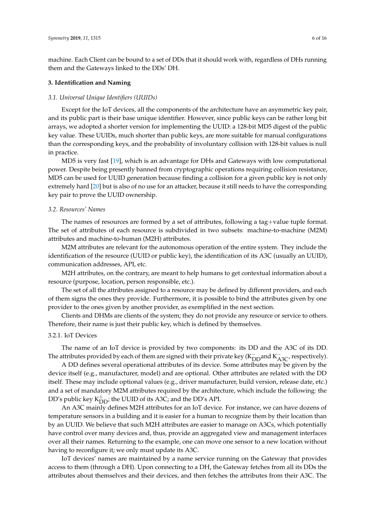machine. Each Client can be bound to a set of DDs that it should work with, regardless of DHs running them and the Gateways linked to the DDs' DH.

## **3. Identification and Naming**

### *3.1. Universal Unique Identifiers (UUIDs)*

Except for the IoT devices, all the components of the architecture have an asymmetric key pair, and its public part is their base unique identifier. However, since public keys can be rather long bit arrays, we adopted a shorter version for implementing the UUID: a 128-bit MD5 digest of the public key value. These UUIDs, much shorter than public keys, are more suitable for manual configurations than the corresponding keys, and the probability of involuntary collision with 128-bit values is null in practice.

MD5 is very fast [\[19\]](#page-14-10), which is an advantage for DHs and Gateways with low computational power. Despite being presently banned from cryptographic operations requiring collision resistance, MD5 can be used for UUID generation because finding a collision for a given public key is not only extremely hard [\[20\]](#page-14-11) but is also of no use for an attacker, because it still needs to have the corresponding key pair to prove the UUID ownership.

## *3.2. Resources' Names*

The names of resources are formed by a set of attributes, following a tag+value tuple format. The set of attributes of each resource is subdivided in two subsets: machine-to-machine (M2M) attributes and machine-to-human (M2H) attributes.

M2M attributes are relevant for the autonomous operation of the entire system. They include the identification of the resource (UUID or public key), the identification of its A3C (usually an UUID), communication addresses, API, etc.

M2H attributes, on the contrary, are meant to help humans to get contextual information about a resource (purpose, location, person responsible, etc.).

The set of all the attributes assigned to a resource may be defined by different providers, and each of them signs the ones they provide. Furthermore, it is possible to bind the attributes given by one provider to the ones given by another provider, as exemplified in the next section.

Clients and DHMs are clients of the system; they do not provide any resource or service to others. Therefore, their name is just their public key, which is defined by themselves.

#### 3.2.1. IoT Devices

The name of an IoT device is provided by two components: its DD and the A3C of its DD. The attributes provided by each of them are signed with their private key ( $K^-_{DD}$  and  $K^-_{A3C}$ , respectively).

A DD defines several operational attributes of its device. Some attributes may be given by the device itself (e.g., manufacturer, model) and are optional. Other attributes are related with the DD itself. These may include optional values (e.g., driver manufacturer, build version, release date, etc.) and a set of mandatory M2M attributes required by the architecture, which include the following: the DD's public key  $K_{DD}^+$ ; the UUID of its A3C; and the DD's API.

An A3C mainly defines M2H attributes for an IoT device. For instance, we can have dozens of temperature sensors in a building and it is easier for a human to recognize them by their location than by an UUID. We believe that such M2H attributes are easier to manage on A3Cs, which potentially have control over many devices and, thus, provide an aggregated view and management interfaces over all their names. Returning to the example, one can move one sensor to a new location without having to reconfigure it; we only must update its A3C.

IoT devices' names are maintained by a name service running on the Gateway that provides access to them (through a DH). Upon connecting to a DH, the Gateway fetches from all its DDs the attributes about themselves and their devices, and then fetches the attributes from their A3C. The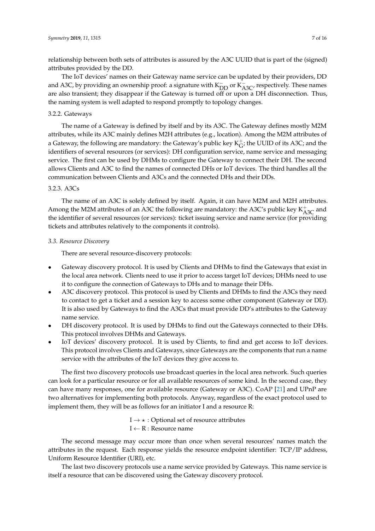relationship between both sets of attributes is assured by the A3C UUID that is part of the (signed) attributes provided by the DD.

The IoT devices' names on their Gateway name service can be updated by their providers, DD and A3C, by providing an ownership proof: a signature with  $K_{DD}^-$  or  $K_{A3C}^-$ , respectively. These names are also transient; they disappear if the Gateway is turned off or upon a DH disconnection. Thus, the naming system is well adapted to respond promptly to topology changes.

## 3.2.2. Gateways

The name of a Gateway is defined by itself and by its A3C. The Gateway defines mostly M2M attributes, while its A3C mainly defines M2H attributes (e.g., location). Among the M2M attributes of a Gateway, the following are mandatory: the Gateway's public key  $K_C^+$  $\overrightarrow{G}$ ; the UUID of its A3C; and the identifiers of several resources (or services): DH configuration service, name service and messaging service. The first can be used by DHMs to configure the Gateway to connect their DH. The second allows Clients and A3C to find the names of connected DHs or IoT devices. The third handles all the communication between Clients and A3Cs and the connected DHs and their DDs.

## 3.2.3. A3Cs

The name of an A3C is solely defined by itself. Again, it can have M2M and M2H attributes. Among the M2M attributes of an A3C the following are mandatory: the A3C's public key  $K_{\text{A3C}}^+$  and the identifier of several resources (or services): ticket issuing service and name service (for providing tickets and attributes relatively to the components it controls).

### <span id="page-6-0"></span>*3.3. Resource Discovery*

There are several resource-discovery protocols:

- Gateway discovery protocol. It is used by Clients and DHMs to find the Gateways that exist in the local area network. Clients need to use it prior to access target IoT devices; DHMs need to use it to configure the connection of Gateways to DHs and to manage their DHs.
- A3C discovery protocol. This protocol is used by Clients and DHMs to find the A3Cs they need to contact to get a ticket and a session key to access some other component (Gateway or DD). It is also used by Gateways to find the A3Cs that must provide DD's attributes to the Gateway name service.
- DH discovery protocol. It is used by DHMs to find out the Gateways connected to their DHs. This protocol involves DHMs and Gateways.
- IoT devices' discovery protocol. It is used by Clients, to find and get access to IoT devices. This protocol involves Clients and Gateways, since Gateways are the components that run a name service with the attributes of the IoT devices they give access to.

The first two discovery protocols use broadcast queries in the local area network. Such queries can look for a particular resource or for all available resources of some kind. In the second case, they can have many responses, one for available resource (Gateway or A3C). CoAP [\[21\]](#page-14-12) and UPnP are two alternatives for implementing both protocols. Anyway, regardless of the exact protocol used to implement them, they will be as follows for an initiator I and a resource R:

> $I \rightarrow \star :$  Optional set of resource attributes  $I \leftarrow R$  : Resource name

The second message may occur more than once when several resources' names match the attributes in the request. Each response yields the resource endpoint identifier: TCP/IP address, Uniform Resource Identifier (URI), etc.

The last two discovery protocols use a name service provided by Gateways. This name service is itself a resource that can be discovered using the Gateway discovery protocol.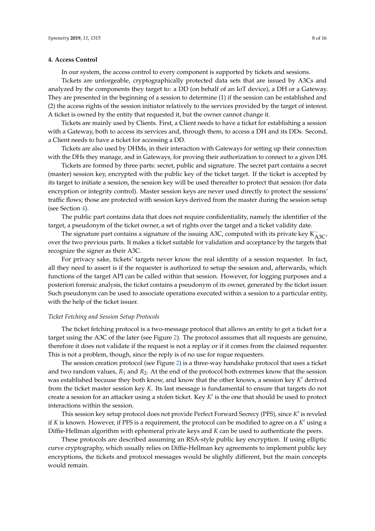## <span id="page-7-0"></span>**4. Access Control**

In our system, the access control to every component is supported by tickets and sessions.

Tickets are unforgeable, cryptographically protected data sets that are issued by A3Cs and analyzed by the components they target to: a DD (on behalf of an IoT device), a DH or a Gateway. They are presented in the beginning of a session to determine (1) if the session can be established and (2) the access rights of the session initiator relatively to the services provided by the target of interest. A ticket is owned by the entity that requested it, but the owner cannot change it.

Tickets are mainly used by Clients. First, a Client needs to have a ticket for establishing a session with a Gateway, both to access its services and, through them, to access a DH and its DDs. Second, a Client needs to have a ticket for accessing a DD.

Tickets are also used by DHMs, in their interaction with Gateways for setting up their connection with the DHs they manage, and in Gateways, for proving their authorization to connect to a given DH.

Tickets are formed by three parts: secret, public and signature. The secret part contains a secret (master) session key, encrypted with the public key of the ticket target. If the ticket is accepted by its target to initiate a session, the session key will be used thereafter to protect that session (for data encryption or integrity control). Master session keys are never used directly to protect the sessions' traffic flows; those are protected with session keys derived from the master during the session setup (see Section [4\)](#page-7-0).

The public part contains data that does not require confidentiality, namely the identifier of the target, a pseudonym of the ticket owner, a set of rights over the target and a ticket validity date.

The signature part contains a signature of the issuing A3C, computed with its private key  $K_{\text{A3C}}^$ over the two previous parts. It makes a ticket suitable for validation and acceptance by the targets that recognize the signer as their A3C.

For privacy sake, tickets' targets never know the real identity of a session requester. In fact, all they need to assert is if the requester is authorized to setup the session and, afterwards, which functions of the target API can be called within that session. However, for logging purposes and a posteriori forensic analysis, the ticket contains a pseudonym of its owner, generated by the ticket issuer. Such pseudonym can be used to associate operations executed within a session to a particular entity, with the help of the ticket issuer.

#### *Ticket Fetching and Session Setup Protocols*

The ticket fetching protocol is a two-message protocol that allows an entity to get a ticket for a target using the A3C of the later (see Figure [2\)](#page-8-0). The protocol assumes that all requests are genuine, therefore it does not validate if the request is not a replay or if it comes from the claimed requester. This is not a problem, though, since the reply is of no use for rogue requesters.

The session creation protocol (see Figure [2\)](#page-8-0) is a three-way handshake protocol that uses a ticket and two random values,  $R_1$  and  $R_2$ . At the end of the protocol both extremes know that the session was established because they both know, and know that the other knows, a session key K' derived from the ticket master session key *K*. Its last message is fundamental to ensure that targets do not create a session for an attacker using a stolen ticket. Key K' is the one that should be used to protect interactions within the session.

This session key setup protocol does not provide Perfect Forward Secrecy (PFS), since K' is reveled if *K* is known. However, if PFS is a requirement, the protocol can be modified to agree on a *K'* using a Diffie-Hellman algorithm with ephemeral private keys and *K* can be used to authenticate the peers.

These protocols are described assuming an RSA-style public key encryption. If using elliptic curve cryptography, which usually relies on Diffie-Hellman key agreements to implement public key encryptions, the tickets and protocol messages would be slightly different, but the main concepts would remain.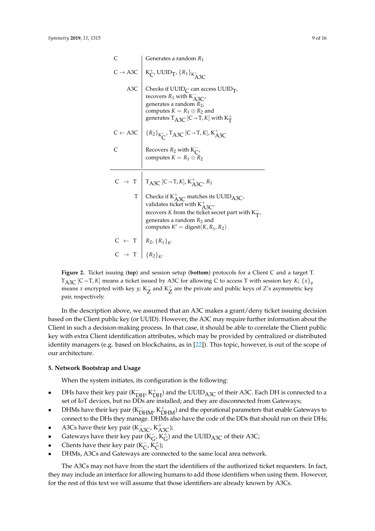<span id="page-8-0"></span>C → A3C  
\n
$$
C \rightarrow A3C
$$
\n
$$
A3C
$$
\n
$$
A3C
$$
\n
$$
A3C
$$
\n
$$
C \text{hecks if UUID}_C \text{ can access UUID}_T,
$$
\nrecoverys  $R_1$  with  $K_{A3C}$ ,  
\ngenerates a random  $R_2$ ,  
\ncomputes  $K = R_1 \oplus R_2$  and  
\ngenerates  $T_{A3C} [C \rightarrow T, K]$  with  $K_T^+$   
\n
$$
C \leftarrow A3C
$$
\n
$$
\{R_2\}_{K_C^+, T_{A3C} [C \rightarrow T, K], K_{A3C}^+
$$
\n
$$
C \rightarrow T
$$
\n
$$
T_{A3C} [C \rightarrow T, K], K_{A3C}^+
$$
\n
$$
C \rightarrow T
$$
\n
$$
T_{A3C} [C \rightarrow T, K], K_{A3C}^+
$$
\n
$$
T
$$
\n
$$
C \text{hecks if } K_{A3C}^+
$$
\n
$$
K_{A3C}^-
$$
\n
$$
C \text{values if } K_{A3C}^+
$$
\n
$$
C \text{values if } K_{A3C}^+
$$
\n
$$
C \text{values if } K_{A3C}^+
$$
\n
$$
C \text{values if } K_{A3C}^+
$$
\n
$$
C \text{and } K_{A3C}^+
$$
\n
$$
C \text{and } K_{B3C}^+
$$
\n
$$
C \text{and } K_{C}^+
$$
\n
$$
C \leftarrow T
$$
\n
$$
R_2, \{R_1\}_{K'}
$$
\n
$$
C \rightarrow T
$$
\n
$$
R_2 \}_{K'}
$$
\n
$$
R_1 \leftarrow R_2
$$
\n
$$
C \leftarrow T
$$
\n
$$
R_2 \leftarrow R_1
$$
\n
$$
C \leftarrow T
$$
\n
$$
R_3 \leftarrow R_2
$$
\n
$$
C \leftarrow T
$$
\n
$$
R_4 \leftarrow R_1
$$
\n
$$
C \leftarrow T
$$
\n
$$

$$

**Figure 2.** Ticket issuing (**top**) and session setup (**bottom**) protocols for a Client C and a target T.  $T_{A3C}$  [C $\rightarrow$  T, K] means a ticket issued by A3C for allowing C to access T with session key  $K$ ; { $x$ }<sub>*y*</sub> means *x* encrypted with key *y*;  $K_Z^-$  and  $K_Z^+$  are the private and public keys of *Z*'s asymmetric key pair, respectively.

In the description above, we assumed that an A3C makes a grant/deny ticket issuing decision based on the Client public key (or UUID). However, the A3C may require further information about the Client in such a decision-making process. In that case, it should be able to correlate the Client public key with extra Client identification attributes, which may be provided by centralized or distributed identity managers (e.g. based on blockchains, as in [\[22\]](#page-14-13)). This topic, however, is out of the scope of our architecture.

## **5. Network Bootstrap and Usage**

When the system initiates, its configuration is the following:

- DHs have their key pair  $(K_{DH}^-, K_{DH}^+)$  and the UUID<sub>A3C</sub> of their A3C. Each DH is connected to a set of IoT devices, but no DDs are installed; and they are disconnected from Gateways;
- DHMs have their key pair  $(K<sub>DHM</sub>, K<sub>DHM</sub>)$  and the operational parameters that enable Gateways to connect to the DHs they manage. DHMs also have the code of the DDs that should run on their DHs;
- A3Cs have their key pair  $(K_{A3C}^-, K_{A3C}^+)$ ;
- Gateways have their key pair  $(K_{\mathbf{G}}^-, K_{\mathbf{G}}^+)$  and the UUID<sub>A3C</sub> of their A3C;
- Clients have their key pair  $(K_C^-, K_C^+)$ ;
- DHMs, A3Cs and Gateways are connected to the same local area network.

The A3Cs may not have from the start the identifiers of the authorized ticket requesters. In fact, they may include an interface for allowing humans to add those identifiers when using them. However, for the rest of this text we will assume that those identifiers are already known by A3Cs.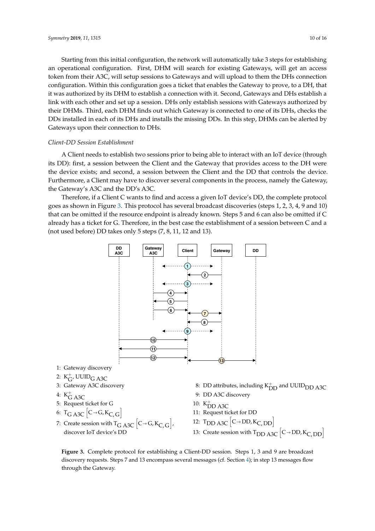Starting from this initial configuration, the network will automatically take 3 steps for establishing an operational configuration. First, DHM will search for existing Gateways, will get an access token from their A3C, will setup sessions to Gateways and will upload to them the DHs connection configuration. Within this configuration goes a ticket that enables the Gateway to prove, to a DH, that it was authorized by its DHM to establish a connection with it. Second, Gateways and DHs establish a link with each other and set up a session. DHs only establish sessions with Gateways authorized by their DHMs. Third, each DHM finds out which Gateway is connected to one of its DHs, checks the DDs installed in each of its DHs and installs the missing DDs. In this step, DHMs can be alerted by Gateways upon their connection to DHs.

## *Client-DD Session Establishment*

A Client needs to establish two sessions prior to being able to interact with an IoT device (through its DD): first, a session between the Client and the Gateway that provides access to the DH were the device exists; and second, a session between the Client and the DD that controls the device. Furthermore, a Client may have to discover several components in the process, namely the Gateway, the Gateway's A3C and the DD's A3C.

Therefore, if a Client C wants to find and access a given IoT device's DD, the complete protocol goes as shown in Figure [3.](#page-9-0) This protocol has several broadcast discoveries (steps 1, 2, 3, 4, 9 and 10) that can be omitted if the resource endpoint is already known. Steps 5 and 6 can also be omitted if C already has a ticket for G. Therefore, in the best case the establishment of a session between C and a (not used before) DD takes only 5 steps (7, 8, 11, 12 and 13).

<span id="page-9-0"></span>

**Figure 3.** Complete protocol for establishing a Client-DD session. Steps 1, 3 and 9 are broadcast discovery requests. Steps 7 and 13 encompass several messages (cf. Section [4\)](#page-7-0); in step 13 messages flow through the Gateway.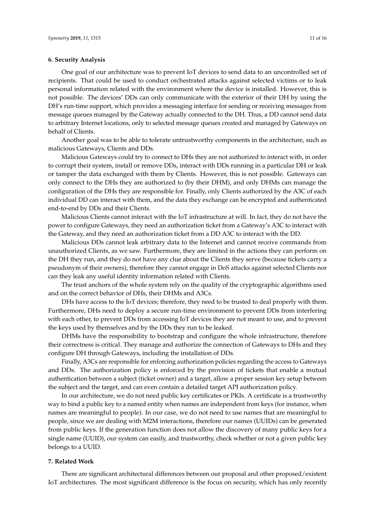## **6. Security Analysis**

One goal of our architecture was to prevent IoT devices to send data to an uncontrolled set of recipients. That could be used to conduct orchestrated attacks against selected victims or to leak personal information related with the environment where the device is installed. However, this is not possible. The devices' DDs can only communicate with the exterior of their DH by using the DH's run-time support, which provides a messaging interface for sending or receiving messages from message queues managed by the Gateway actually connected to the DH. Thus, a DD cannot send data to arbitrary Internet locations, only to selected message queues created and managed by Gateways on behalf of Clients.

Another goal was to be able to tolerate untrustworthy components in the architecture, such as malicious Gateways, Clients and DDs.

Malicious Gateways could try to connect to DHs they are not authorized to interact with, in order to corrupt their system, install or remove DDs, interact with DDs running in a particular DH or leak or tamper the data exchanged with them by Clients. However, this is not possible. Gateways can only connect to the DHs they are authorized to (by their DHM), and only DHMs can manage the configuration of the DHs they are responsible for. Finally, only Clients authorized by the A3C of each individual DD can interact with them, and the data they exchange can be encrypted and authenticated end-to-end by DDs and their Clients.

Malicious Clients cannot interact with the IoT infrastructure at will. In fact, they do not have the power to configure Gateways, they need an authorization ticket from a Gateway's A3C to interact with the Gateway, and they need an authorization ticket from a DD A3C to interact with the DD.

Malicious DDs cannot leak arbitrary data to the Internet and cannot receive commands from unauthorized Clients, as we saw. Furthermore, they are limited in the actions they can perform on the DH they run, and they do not have any clue about the Clients they serve (because tickets carry a pseudonym of their owners), therefore they cannot engage in DoS attacks against selected Clients nor can they leak any useful identity information related with Clients.

The trust anchors of the whole system rely on the quality of the cryptographic algorithms used and on the correct behavior of DHs, their DHMs and A3Cs.

DHs have access to the IoT devices; therefore, they need to be trusted to deal properly with them. Furthermore, DHs need to deploy a secure run-time environment to prevent DDs from interfering with each other, to prevent DDs from accessing IoT devices they are not meant to use, and to prevent the keys used by themselves and by the DDs they run to be leaked.

DHMs have the responsibility to bootstrap and configure the whole infrastructure, therefore their correctness is critical. They manage and authorize the connection of Gateways to DHs and they configure DH through Gateways, including the installation of DDs.

Finally, A3Cs are responsible for enforcing authorization policies regarding the access to Gateways and DDs. The authorization policy is enforced by the provision of tickets that enable a mutual authentication between a subject (ticket owner) and a target, allow a proper session key setup between the subject and the target, and can even contain a detailed target API authorization policy.

In our architecture, we do not need public key certificates or PKIs. A certificate is a trustworthy way to bind a public key to a named entity when names are independent from keys (for instance, when names are meaningful to people). In our case, we do not need to use names that are meaningful to people, since we are dealing with M2M interactions, therefore our names (UUIDs) can be generated from public keys. If the generation function does not allow the discovery of many public keys for a single name (UUID), our system can easily, and trustworthy, check whether or not a given public key belongs to a UUID.

#### **7. Related Work**

There are significant architectural differences between our proposal and other proposed/existent IoT architectures. The most significant difference is the focus on security, which has only recently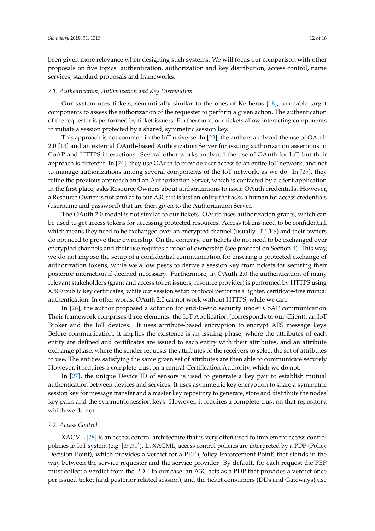been given more relevance when designing such systems. We will focus our comparison with other proposals on five topics: authentication, authorization and key distribution, access control, name services, standard proposals and frameworks.

#### *7.1. Authentication, Authorization and Key Distribution*

Our system uses tickets, semantically similar to the ones of Kerberos [\[18\]](#page-14-9), to enable target components to assess the authorization of the requester to perform a given action. The authentication of the requester is performed by ticket issuers. Furthermore, our tickets allow interacting components to initiate a session protected by a shared, symmetric session key.

This approach is not common in the IoT universe. In [\[23\]](#page-14-14), the authors analyzed the use of OAuth 2.0 [\[13\]](#page-14-4) and an external OAuth-based Authorization Server for issuing authorization assertions in CoAP and HTTPS interactions. Several other works analyzed the use of OAuth for IoT, but their approach is different. In [\[24\]](#page-14-15), they use OAuth to provide user access to an entire IoT network, and not to manage authorizations among several components of the IoT network, as we do. In [\[25\]](#page-14-16), they refine the previous approach and an Authorization Server, which is contacted by a client application in the first place, asks Resource Owners about authorizations to issue OAuth credentials. However, a Resource Owner is not similar to our A3Cs; it is just an entity that asks a human for access credentials (username and password) that are then given to the Authorization Server.

The OAuth 2.0 model is not similar to our tickets. OAuth uses authorization grants, which can be used to get access tokens for accessing protected resources. Access tokens need to be confidential, which means they need to be exchanged over an encrypted channel (usually HTTPS) and their owners do not need to prove their ownership. On the contrary, our tickets do not need to be exchanged over encrypted channels and their use requires a proof of ownership (see protocol on Section [4\)](#page-7-0). This way, we do not impose the setup of a confidential communication for ensuring a protected exchange of authorization tokens, while we allow peers to derive a session key from tickets for securing their posterior interaction if deemed necessary. Furthermore, in OAuth 2.0 the authentication of many relevant stakeholders (grant and access token issuers, resource provider) is performed by HTTPS using X.509 public key certificates, while our session setup protocol performs a lighter, certificate-free mutual authentication. In other words, OAuth 2.0 cannot work without HTTPS, while we can.

In [\[26\]](#page-14-17), the author proposed a solution for end-to-end security under CoAP communication. Their framework comprises three elements: the IoT Application (corresponds to our Client), an IoT Broker and the IoT devices. It uses attribute-based encryption to encrypt AES message keys. Before communication, it implies the existence is an issuing phase, where the attributes of each entity are defined and certificates are issued to each entity with their attributes, and an attribute exchange phase, where the sender requests the attributes of the receivers to select the set of attributes to use. The entities satisfying the same given set of attributes are then able to communicate securely. However, it requires a complete trust on a central Certification Authority, which we do not.

In [\[27\]](#page-14-18), the unique Device ID of sensors is used to generate a key pair to establish mutual authentication between devices and services. It uses asymmetric key encryption to share a symmetric session key for message transfer and a master key repository to generate, store and distribute the nodes' key pairs and the symmetric session keys. However, it requires a complete trust on that repository, which we do not.

## *7.2. Access Control*

XACML [\[28\]](#page-14-19) is an access control architecture that is very often used to implement access control policies in IoT system (e.g. [\[29,](#page-14-20)[30\]](#page-15-0)). In XACML, access control policies are interpreted by a PDP (Policy Decision Point), which provides a verdict for a PEP (Policy Enforcement Point) that stands in the way between the service requester and the service provider. By default, for each request the PEP must collect a verdict from the PDP. In our case, an A3C acts as a PDP that provides a verdict once per issued ticket (and posterior related session), and the ticket consumers (DDs and Gateways) use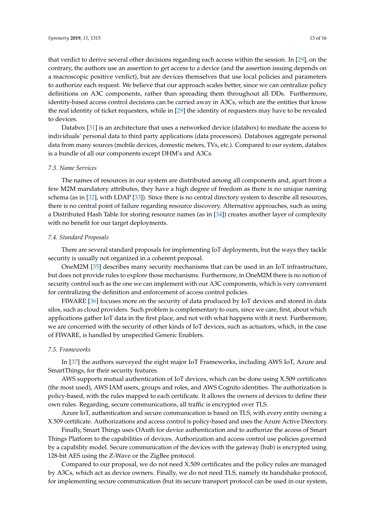that verdict to derive several other decisions regarding each access within the session. In [\[29\]](#page-14-20), on the contrary, the authors use an assertion to get access to a device (and the assertion issuing depends on a macroscopic positive verdict), but are devices themselves that use local policies and parameters to authorize each request. We believe that our approach scales better, since we can centralize policy definitions on A3C components, rather than spreading them throughout all DDs. Furthermore, identity-based access control decisions can be carried away in A3Cs, which are the entities that know the real identity of ticket requesters, while in [\[29\]](#page-14-20) the identity of requesters may have to be revealed to devices.

Databox [\[31\]](#page-15-1) is an architecture that uses a networked device (databox) to mediate the access to individuals' personal data to third party applications (data processors). Databoxes aggregate personal data from many sources (mobile devices, domestic meters, TVs, etc.). Compared to our system, databox is a bundle of all our components except DHM's and A3Cs.

#### *7.3. Name Services*

The names of resources in our system are distributed among all components and, apart from a few M2M mandatory attributes, they have a high degree of freedom as there is no unique naming schema (as in [\[32\]](#page-15-2), with LDAP [\[33\]](#page-15-3)). Since there is no central directory system to describe all resources, there is no central point of failure regarding resource discovery. Alternative approaches, such as using a Distributed Hash Table for storing resource names (as in [\[34\]](#page-15-4)) creates another layer of complexity with no benefit for our target deployments.

## *7.4. Standard Proposals*

There are several standard proposals for implementing IoT deployments, but the ways they tackle security is usually not organized in a coherent proposal.

OneM2M [\[35\]](#page-15-5) describes many security mechanisms that can be used in an IoT infrastructure, but does not provide rules to explore those mechanisms. Furthermore, in OneM2M there is no notion of security control such as the one we can implement with our A3C components, which is very convenient for centralizing the definition and enforcement of access control policies.

FIWARE [\[36\]](#page-15-6) focuses more on the security of data produced by IoT devices and stored in data silos, such as cloud providers. Such problem is complementary to ours, since we care, first, about which applications gather IoT data in the first place, and not with what happens with it next. Furthermore, we are concerned with the security of other kinds of IoT devices, such as actuators, which, in the case of FIWARE, is handled by unspecified Generic Enablers.

## *7.5. Frameworks*

In [\[37\]](#page-15-7) the authors surveyed the eight major IoT Frameworks, including AWS IoT, Azure and SmartThings, for their security features.

AWS supports mutual authentication of IoT devices, which can be done using X.509 certificates (the most used), AWS IAM users, groups and roles, and AWS Cognito identities. The authorization is policy-based, with the rules mapped to each certificate. It allows the owners of devices to define their own rules. Regarding, secure communications, all traffic is encrypted over TLS.

Azure IoT, authentication and secure communication is based on TLS, with every entity owning a X.509 certificate. Authorizations and access control is policy-based and uses the Azure Active Directory.

Finally, Smart Things uses OAuth for device authentication and to authorize the access of Smart Things Platform to the capabilities of devices. Authorization and access control use policies governed by a capability model. Secure communication of the devices with the gateway (hub) is encrypted using 128-bit AES using the Z-Wave or the ZigBee protocol.

Compared to our proposal, we do not need X.509 certificates and the policy rules are managed by A3Cs, which act as device owners. Finally, we do not need TLS, namely its handshake protocol, for implementing secure communication (but its secure transport protocol can be used in our system,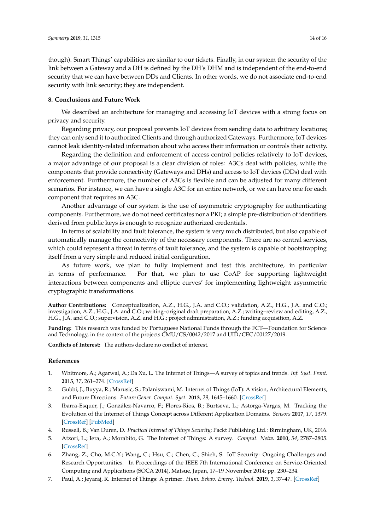though). Smart Things' capabilities are similar to our tickets. Finally, in our system the security of the link between a Gateway and a DH is defined by the DH's DHM and is independent of the end-to-end security that we can have between DDs and Clients. In other words, we do not associate end-to-end security with link security; they are independent.

## **8. Conclusions and Future Work**

We described an architecture for managing and accessing IoT devices with a strong focus on privacy and security.

Regarding privacy, our proposal prevents IoT devices from sending data to arbitrary locations; they can only send it to authorized Clients and through authorized Gateways. Furthermore, IoT devices cannot leak identity-related information about who access their information or controls their activity.

Regarding the definition and enforcement of access control policies relatively to IoT devices, a major advantage of our proposal is a clear division of roles: A3Cs deal with policies, while the components that provide connectivity (Gateways and DHs) and access to IoT devices (DDs) deal with enforcement. Furthermore, the number of A3Cs is flexible and can be adjusted for many different scenarios. For instance, we can have a single A3C for an entire network, or we can have one for each component that requires an A3C.

Another advantage of our system is the use of asymmetric cryptography for authenticating components. Furthermore, we do not need certificates nor a PKI; a simple pre-distribution of identifiers derived from public keys is enough to recognize authorized credentials.

In terms of scalability and fault tolerance, the system is very much distributed, but also capable of automatically manage the connectivity of the necessary components. There are no central services, which could represent a threat in terms of fault tolerance, and the system is capable of bootstrapping itself from a very simple and reduced initial configuration.

As future work, we plan to fully implement and test this architecture, in particular in terms of performance. For that, we plan to use CoAP for supporting lightweight interactions between components and elliptic curves' for implementing lightweight asymmetric cryptographic transformations.

**Author Contributions:** Conceptualization, A.Z., H.G., J.A. and C.O.; validation, A.Z., H.G., J.A. and C.O.; investigation, A.Z., H.G., J.A. and C.O.; writing–original draft preparation, A.Z.; writing–review and editing, A.Z., H.G., J.A. and C.O.; supervision, A.Z. and H.G.; project administration, A.Z.; funding acquisition, A.Z.

**Funding:** This research was funded by Portuguese National Funds through the FCT—Foundation for Science and Technology, in the context of the projects CMU/CS/0042/2017 and UID/CEC/00127/2019.

**Conflicts of Interest:** The authors declare no conflict of interest.

## **References**

- <span id="page-13-0"></span>1. Whitmore, A.; Agarwal, A.; Da Xu, L. The Internet of Things—A survey of topics and trends. *Inf. Syst. Front.* **2015**, *17*, 261–274. [\[CrossRef\]](http://dx.doi.org/10.1007/s10796-014-9489-2)
- <span id="page-13-1"></span>2. Gubbi, J.; Buyya, R.; Marusic, S.; Palaniswami, M. Internet of Things (IoT): A vision, Architectural Elements, and Future Directions. *Future Gener. Comput. Syst.* **2013**, *29*, 1645–1660. [\[CrossRef\]](http://dx.doi.org/10.1016/j.future.2013.01.010)
- <span id="page-13-2"></span>3. Ibarra-Esquer, J.; González-Navarro, F.; Flores-Rios, B.; Burtseva, L.; Astorga-Vargas, M. Tracking the Evolution of the Internet of Things Concept across Different Application Domains. *Sensors* **2017**, *17*, 1379. [\[CrossRef\]](http://dx.doi.org/10.3390/s17061379) [\[PubMed\]](http://www.ncbi.nlm.nih.gov/pubmed/28613238)
- <span id="page-13-3"></span>4. Russell, B.; Van Duren, D. *Practical Internet of Things Security*; Packt Publishing Ltd.: Birmingham, UK, 2016.
- <span id="page-13-4"></span>5. Atzori, L.; Iera, A.; Morabito, G. The Internet of Things: A survey. *Comput. Netw.* **2010**, *54*, 2787–2805. [\[CrossRef\]](http://dx.doi.org/10.1016/j.comnet.2010.05.010)
- <span id="page-13-5"></span>6. Zhang, Z.; Cho, M.C.Y.; Wang, C.; Hsu, C.; Chen, C.; Shieh, S. IoT Security: Ongoing Challenges and Research Opportunities. In Proceedings of the IEEE 7th International Conference on Service-Oriented Computing and Applications (SOCA 2014), Matsue, Japan, 17–19 November 2014; pp. 230–234.
- <span id="page-13-6"></span>7. Paul, A.; Jeyaraj, R. Internet of Things: A primer. *Hum. Behav. Emerg. Technol.* **2019**, *1*, 37–47. [\[CrossRef\]](http://dx.doi.org/10.1002/hbe2.133)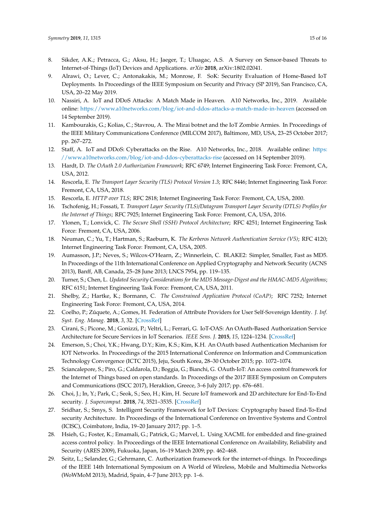- <span id="page-14-0"></span>8. Sikder, A.K.; Petracca, G.; Aksu, H.; Jaeger, T.; Uluagac, A.S. A Survey on Sensor-based Threats to Internet-of-Things (IoT) Devices and Applications. *arXiv* **2018**, arXiv:1802.02041.
- <span id="page-14-1"></span>9. Alrawi, O.; Lever, C.; Antonakakis, M.; Monrose, F. SoK: Security Evaluation of Home-Based IoT Deployments. In Proceedings of the IEEE Symposium on Security and Privacy (SP 2019), San Francisco, CA, USA, 20–22 May 2019.
- <span id="page-14-2"></span>10. Nassiri, A. IoT and DDoS Attacks: A Match Made in Heaven. A10 Networks, Inc., 2019. Available online: <https://www.a10networks.com/blog/iot-and-ddos-attacks-a-match-made-in-heaven> (accessed on 14 September 2019).
- 11. Kambourakis, G.; Kolias, C.; Stavrou, A. The Mirai botnet and the IoT Zombie Armies. In Proceedings of the IEEE Military Communications Conference (MILCOM 2017), Baltimore, MD, USA, 23–25 October 2017; pp. 267–272.
- <span id="page-14-3"></span>12. Staff, A. IoT and DDoS: Cyberattacks on the Rise. A10 Networks, Inc., 2018. Available online: [https:](https://www.a10networks.com/blog/iot-and-ddos-cyberattacks-rise) [//www.a10networks.com/blog/iot-and-ddos-cyberattacks-rise](https://www.a10networks.com/blog/iot-and-ddos-cyberattacks-rise) (accessed on 14 September 2019).
- <span id="page-14-4"></span>13. Hardt, D. *The OAuth 2.0 Authorization Framework*; RFC 6749; Internet Engineering Task Force: Fremont, CA, USA, 2012.
- <span id="page-14-5"></span>14. Rescorla, E. *The Transport Layer Security (TLS) Protocol Version 1.3*; RFC 8446; Internet Engineering Task Force: Fremont, CA, USA, 2018.
- <span id="page-14-7"></span><span id="page-14-6"></span>15. Rescorla, E. *HTTP over TLS*; RFC 2818; Internet Engineering Task Force: Fremont, CA, USA, 2000.
- 16. Tschofenig, H.; Fossati, T. *Transport Layer Security (TLS)/Datagram Transport Layer Security (DTLS) Profiles for the Internet of Things*; RFC 7925; Internet Engineering Task Force: Fremont, CA, USA, 2016.
- <span id="page-14-8"></span>17. Ylonen, T.; Lonvick, C. *The Secure Shell (SSH) Protocol Architecture*; RFC 4251; Internet Engineering Task Force: Fremont, CA, USA, 2006.
- <span id="page-14-9"></span>18. Neuman, C.; Yu, T.; Hartman, S.; Raeburn, K. *The Kerberos Network Authentication Service (V5)*; RFC 4120; Internet Engineering Task Force: Fremont, CA, USA, 2005.
- <span id="page-14-10"></span>19. Aumasson, J.P.; Neves, S.; Wilcox-O'Hearn, Z.; Winnerlein, C. BLAKE2: Simpler, Smaller, Fast as MD5. In Proceedings of the 11th International Conference on Applied Cryptography and Network Security (ACNS 2013), Banff, AB, Canada, 25–28 June 2013; LNCS 7954, pp. 119–135.
- <span id="page-14-11"></span>20. Turner, S.; Chen, L. *Updated Security Considerations for the MD5 Message-Digest and the HMAC-MD5 Algorithms*; RFC 6151; Internet Engineering Task Force: Fremont, CA, USA, 2011.
- <span id="page-14-12"></span>21. Shelby, Z.; Hartke, K.; Bormann, C. *The Constrained Application Protocol (CoAP)*; RFC 7252; Internet Engineering Task Force: Fremont, CA, USA, 2014.
- <span id="page-14-13"></span>22. Coelho, P.; Zúquete, A.; Gomes, H. Federation of Attribute Providers for User Self-Sovereign Identity. *J. Inf. Syst. Eng. Manag.* **2018**, *3*, 32. [\[CrossRef\]](http://dx.doi.org/10.20897/jisem/3943)
- <span id="page-14-14"></span>23. Cirani, S.; Picone, M.; Gonizzi, P.; Veltri, L.; Ferrari, G. IoT-OAS: An OAuth-Based Authorization Service Architecture for Secure Services in IoT Scenarios. *IEEE Sens. J.* **2015**, *15*, 1224–1234. [\[CrossRef\]](http://dx.doi.org/10.1109/JSEN.2014.2361406)
- <span id="page-14-15"></span>24. Emerson, S.; Choi, Y.K.; Hwang, D.Y.; Kim, K.S.; Kim, K.H. An OAuth based Authentication Mechanism for IOT Networks. In Proceedings of the 2015 International Conference on Information and Communication Technology Convergence (ICTC 2015), Jeju, South Korea, 28–30 October 2015; pp. 1072–1074.
- <span id="page-14-16"></span>25. Sciancalepore, S.; Piro, G.; Caldarola, D.; Boggia, G.; Bianchi, G. OAuth-IoT: An access control framework for the Internet of Things based on open standards. In Proceedings of the 2017 IEEE Symposium on Computers and Communications (ISCC 2017), Heraklion, Greece, 3–6 July 2017; pp. 676–681.
- <span id="page-14-17"></span>26. Choi, J.; In, Y.; Park, C.; Seok, S.; Seo, H.; Kim, H. Secure IoT framework and 2D architecture for End-To-End security. *J. Supercomput.* **2018**, *74*, 3521–3535. [\[CrossRef\]](http://dx.doi.org/10.1007/s11227-016-1684-0)
- <span id="page-14-18"></span>27. Sridhar, S.; Smys, S. Intelligent Security Framework for IoT Devices: Cryptography based End-To-End security Architecture. In Proceedings of the International Conference on Inventive Systems and Control (ICISC), Coimbatore, India, 19–20 January 2017; pp. 1–5.
- <span id="page-14-19"></span>28. Hsieh, G.; Foster, K.; Emamali, G.; Patrick, G.; Marvel, L. Using XACML for embedded and fine-grained access control policy. In Proceedings of the IEEE International Conference on Availability, Reliability and Security (ARES 2009), Fukuoka, Japan, 16–19 March 2009; pp. 462–468.
- <span id="page-14-20"></span>29. Seitz, L.; Selander, G.; Gehrmann, C. Authorization framework for the internet-of-things. In Proceedings of the IEEE 14th International Symposium on A World of Wireless, Mobile and Multimedia Networks (WoWMoM 2013), Madrid, Spain, 4–7 June 2013; pp. 1–6.